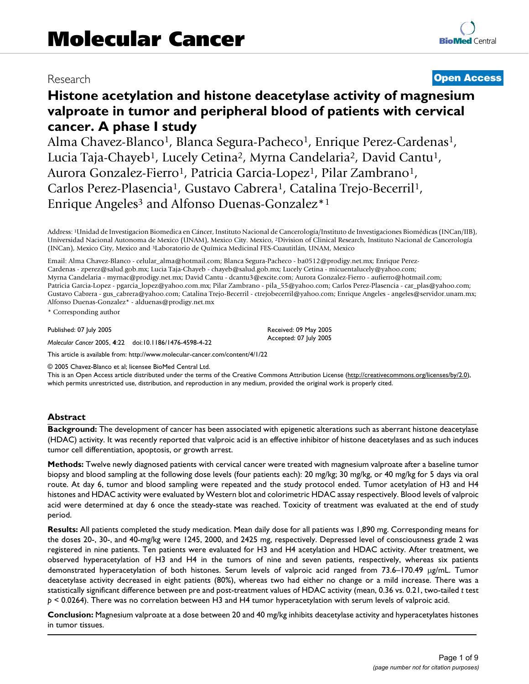## Research **[Open Access](http://www.biomedcentral.com/info/about/charter/)**

# **Histone acetylation and histone deacetylase activity of magnesium valproate in tumor and peripheral blood of patients with cervical cancer. A phase I study**

Alma Chavez-Blanco<sup>1</sup>, Blanca Segura-Pacheco<sup>1</sup>, Enrique Perez-Cardenas<sup>1</sup>, Lucia Taja-Chayeb<sup>1</sup>, Lucely Cetina<sup>2</sup>, Myrna Candelaria<sup>2</sup>, David Cantu<sup>1</sup>, Aurora Gonzalez-Fierro<sup>1</sup>, Patricia Garcia-Lopez<sup>1</sup>, Pilar Zambrano<sup>1</sup>, Carlos Perez-Plasencia<sup>1</sup>, Gustavo Cabrera<sup>1</sup>, Catalina Trejo-Becerril<sup>1</sup>, Enrique Angeles<sup>3</sup> and Alfonso Duenas-Gonzalez<sup>\*1</sup>

Address: 1Unidad de Investigacion Biomedica en Cáncer, Instituto Nacional de Cancerología/Instituto de Investigaciones Biomédicas (INCan/IIB), Universidad Nacional Autonoma de Mexico (UNAM), Mexico City. Mexico, 2Division of Clinical Research, Instituto Nacional de Cancerología (INCan), Mexico City, Mexico and 3Laboratorio de Química Medicinal FES-Cuautitlán, UNAM, Mexico

Email: Alma Chavez-Blanco - celular\_alma@hotmail.com; Blanca Segura-Pacheco - ba0512@prodigy.net.mx; Enrique Perez-Cardenas - zperez@salud.gob.mx; Lucia Taja-Chayeb - chayeb@salud.gob.mx; Lucely Cetina - micuentalucely@yahoo.com; Myrna Candelaria - myrnac@prodigy.net.mx; David Cantu - dcantu3@excite.com; Aurora Gonzalez-Fierro - aufierro@hotmail.com; Patricia Garcia-Lopez - pgarcia\_lopez@yahoo.com.mx; Pilar Zambrano - pila\_55@yahoo.com; Carlos Perez-Plasencia - car\_plas@yahoo.com; Gustavo Cabrera - gus\_cabrera@yahoo.com; Catalina Trejo-Becerril - ctrejobecerril@yahoo.com; Enrique Angeles - angeles@servidor.unam.mx; Alfonso Duenas-Gonzalez\* - alduenas@prodigy.net.mx

> Received: 09 May 2005 Accepted: 07 July 2005

\* Corresponding author

Published: 07 July 2005

*Molecular Cancer* 2005, **4**:22 doi:10.1186/1476-4598-4-22

[This article is available from: http://www.molecular-cancer.com/content/4/1/22](http://www.molecular-cancer.com/content/4/1/22)

© 2005 Chavez-Blanco et al; licensee BioMed Central Ltd.

This is an Open Access article distributed under the terms of the Creative Commons Attribution License [\(http://creativecommons.org/licenses/by/2.0\)](http://creativecommons.org/licenses/by/2.0), which permits unrestricted use, distribution, and reproduction in any medium, provided the original work is properly cited.

### **Abstract**

**Background:** The development of cancer has been associated with epigenetic alterations such as aberrant histone deacetylase (HDAC) activity. It was recently reported that valproic acid is an effective inhibitor of histone deacetylases and as such induces tumor cell differentiation, apoptosis, or growth arrest.

**Methods:** Twelve newly diagnosed patients with cervical cancer were treated with magnesium valproate after a baseline tumor biopsy and blood sampling at the following dose levels (four patients each): 20 mg/kg; 30 mg/kg, or 40 mg/kg for 5 days via oral route. At day 6, tumor and blood sampling were repeated and the study protocol ended. Tumor acetylation of H3 and H4 histones and HDAC activity were evaluated by Western blot and colorimetric HDAC assay respectively. Blood levels of valproic acid were determined at day 6 once the steady-state was reached. Toxicity of treatment was evaluated at the end of study period.

**Results:** All patients completed the study medication. Mean daily dose for all patients was 1,890 mg. Corresponding means for the doses 20-, 30-, and 40-mg/kg were 1245, 2000, and 2425 mg, respectively. Depressed level of consciousness grade 2 was registered in nine patients. Ten patients were evaluated for H3 and H4 acetylation and HDAC activity. After treatment, we observed hyperacetylation of H3 and H4 in the tumors of nine and seven patients, respectively, whereas six patients demonstrated hyperacetylation of both histones. Serum levels of valproic acid ranged from 73.6–170.49 µg/mL. Tumor deacetylase activity decreased in eight patients (80%), whereas two had either no change or a mild increase. There was a statistically significant difference between pre and post-treatment values of HDAC activity (mean, 0.36 vs. 0.21, two-tailed *t* test *p* < 0.0264). There was no correlation between H3 and H4 tumor hyperacetylation with serum levels of valproic acid.

**Conclusion:** Magnesium valproate at a dose between 20 and 40 mg/kg inhibits deacetylase activity and hyperacetylates histones in tumor tissues.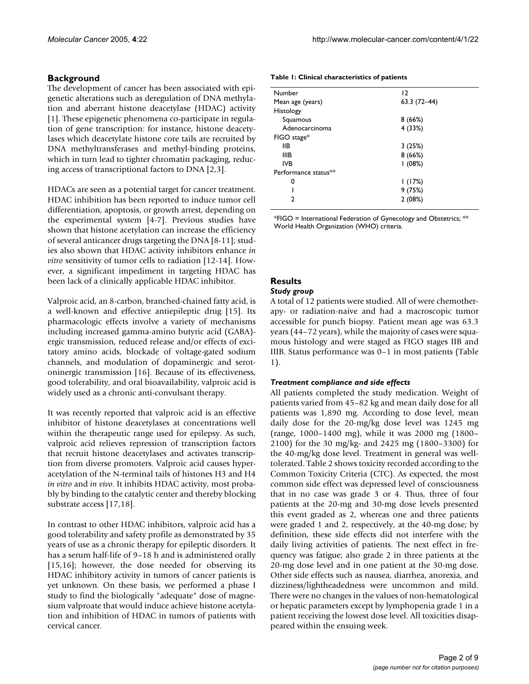## **Background**

The development of cancer has been associated with epigenetic alterations such as deregulation of DNA methylation and aberrant histone deacetylase (HDAC) activity [1]. These epigenetic phenomena co-participate in regulation of gene transcription: for instance, histone deacetylases which deacetylate histone core tails are recruited by DNA methyltransferases and methyl-binding proteins, which in turn lead to tighter chromatin packaging, reducing access of transcriptional factors to DNA [2,3].

HDACs are seen as a potential target for cancer treatment. HDAC inhibition has been reported to induce tumor cell differentiation, apoptosis, or growth arrest, depending on the experimental system [4-7]. Previous studies have shown that histone acetylation can increase the efficiency of several anticancer drugs targeting the DNA [8-11]; studies also shown that HDAC activity inhibitors enhance *in vitro* sensitivity of tumor cells to radiation [12-14]. However, a significant impediment in targeting HDAC has been lack of a clinically applicable HDAC inhibitor.

Valproic acid, an 8-carbon, branched-chained fatty acid, is a well-known and effective antiepileptic drug [15]. Its pharmacologic effects involve a variety of mechanisms including increased gamma-amino butyric acid (GABA) ergic transmission, reduced release and/or effects of excitatory amino acids, blockade of voltage-gated sodium channels, and modulation of dopaminergic and serotoninergic transmission [16]. Because of its effectiveness, good tolerability, and oral bioavailability, valproic acid is widely used as a chronic anti-convulsant therapy.

It was recently reported that valproic acid is an effective inhibitor of histone deacetylases at concentrations well within the therapeutic range used for epilepsy. As such, valproic acid relieves repression of transcription factors that recruit histone deacetylases and activates transcription from diverse promoters. Valproic acid causes hyperacetylation of the N-terminal tails of histones H3 and H4 *in vitro* and *in vivo*. It inhibits HDAC activity, most probably by binding to the catalytic center and thereby blocking substrate access [17,18].

In contrast to other HDAC inhibitors, valproic acid has a good tolerability and safety profile as demonstrated by 35 years of use as a chronic therapy for epileptic disorders. It has a serum half-life of 9–18 h and is administered orally [15,16]; however, the dose needed for observing its HDAC inhibitory activity in tumors of cancer patients is yet unknown. On these basis, we performed a phase I study to find the biologically "adequate" dose of magnesium valproate that would induce achieve histone acetylation and inhibition of HDAC in tumors of patients with cervical cancer.

<span id="page-1-0"></span>

|  | Table 1: Clinical characteristics of patients |  |  |
|--|-----------------------------------------------|--|--|
|--|-----------------------------------------------|--|--|

| $\overline{2}$ |  |  |
|----------------|--|--|
| $63.3(72-44)$  |  |  |
|                |  |  |
| 8(66%)         |  |  |
| 4(33%)         |  |  |
|                |  |  |
| 3(25%)         |  |  |
| 8(66%)         |  |  |
| (08%)          |  |  |
|                |  |  |
| 1(17%)         |  |  |
| 9(75%)         |  |  |
| 2(08%)         |  |  |
|                |  |  |

\*FIGO = International Federation of Gynecology and Obstetrics; \*\* World Health Organization (WHO) criteria.

## **Results**

### *Study group*

A total of 12 patients were studied. All of were chemotherapy- or radiation-naive and had a macroscopic tumor accessible for punch biopsy. Patient mean age was 63.3 years (44–72 years), while the majority of cases were squamous histology and were staged as FIGO stages IIB and IIIB. Status performance was 0–1 in most patients (Table [1](#page-1-0)).

### *Treatment compliance and side effects*

All patients completed the study medication. Weight of patients varied from 45–82 kg and mean daily dose for all patients was 1,890 mg. According to dose level, mean daily dose for the 20-mg/kg dose level was 1245 mg (range, 1000–1400 mg), while it was 2000 mg (1800– 2100) for the 30 mg/kg- and 2425 mg (1800–3300) for the 40-mg/kg dose level. Treatment in general was welltolerated. Table [2](#page-2-0) shows toxicity recorded according to the Common Toxicity Criteria (CTC). As expected, the most common side effect was depressed level of consciousness that in no case was grade 3 or 4. Thus, three of four patients at the 20-mg and 30-mg dose levels presented this event graded as 2, whereas one and three patients were graded 1 and 2, respectively, at the 40-mg dose; by definition, these side effects did not interfere with the daily living activities of patients. The next effect in frequency was fatigue; also grade 2 in three patients at the 20-mg dose level and in one patient at the 30-mg dose. Other side effects such as nausea, diarrhea, anorexia, and dizziness/lightheadedness were uncommon and mild. There were no changes in the values of non-hematological or hepatic parameters except by lymphopenia grade 1 in a patient receiving the lowest dose level. All toxicities disappeared within the ensuing week.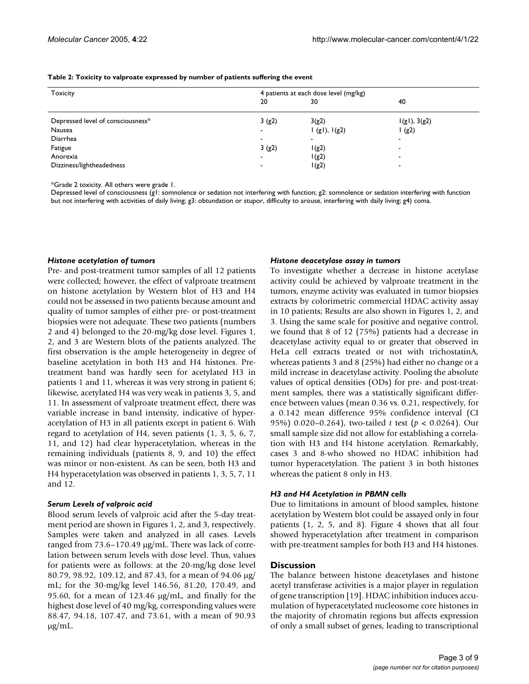#### <span id="page-2-0"></span>**Table 2: Toxicity to valproate expressed by number of patients suffering the event**

| <b>Toxicity</b>                   | 4 patients at each dose level (mg/kg) |              |                          |
|-----------------------------------|---------------------------------------|--------------|--------------------------|
|                                   | 20                                    | 30           | 40                       |
| Depressed level of consciousness* | 3(g2)                                 | 3(g2)        | 1(g1), 3(g2)             |
| Nausea                            |                                       | I(g1), I(g2) | $\sqrt{g(2)}$            |
| Diarrhea                          |                                       | $\,$         | $\overline{\phantom{a}}$ |
| Fatigue                           | 3(g2)                                 | I(g2)        | -                        |
| Anorexia                          |                                       | 1(g2)        | -                        |
| Dizziness/lightheadedness         |                                       | I(g2)        | $\overline{\phantom{a}}$ |

\*Grade 2 toxicity. All others were grade 1.

Depressed level of consciousness (g1: somnolence or sedation not interfering with function; g2: somnolence or sedation interfering with function but not interfering with activities of daily living; g3: obtundation or stupor, difficulty to arouse, interfering with daily living; g4) coma.

#### *Histone acetylation of tumors*

Pre- and post-treatment tumor samples of all 12 patients were collected; however, the effect of valproate treatment on histone acetylation by Western blot of H3 and H4 could not be assessed in two patients because amount and quality of tumor samples of either pre- or post-treatment biopsies were not adequate. These two patients (numbers 2 and 4) belonged to the 20-mg/kg dose level. Figures 1, 2, and 3 are Western blots of the patients analyzed. The first observation is the ample heterogeneity in degree of baseline acetylation in both H3 and H4 histones. Pretreatment band was hardly seen for acetylated H3 in patients 1 and 11, whereas it was very strong in patient 6; likewise, acetylated H4 was very weak in patients 3, 5, and 11. In assessment of valproate treatment effect, there was variable increase in band intensity, indicative of hyperacetylation of H3 in all patients except in patient 6. With regard to acetylation of H4, seven patients (1, 3, 5, 6, 7, 11, and 12) had clear hyperacetylation, whereas in the remaining individuals (patients 8, 9, and 10) the effect was minor or non-existent. As can be seen, both H3 and H4 hyperacetylation was observed in patients 1, 3, 5, 7, 11 and 12.

#### *Serum Levels of valproic acid*

Blood serum levels of valproic acid after the 5-day treatment period are shown in Figures 1, 2, and 3, respectively. Samples were taken and analyzed in all cases. Levels ranged from 73.6–170.49 µg/mL. There was lack of correlation between serum levels with dose level. Thus, values for patients were as follows: at the 20-mg/kg dose level 80.79, 98.92, 109.12, and 87.43, for a mean of 94.06 µg/ mL; for the 30-mg/kg level 146.56, 81.20, 170.49, and 95.60, for a mean of 123.46 µg/mL, and finally for the highest dose level of 40 mg/kg, corresponding values were 88.47, 94.18, 107.47, and 73.61, with a mean of 90.93  $\mu$ g/mL.

#### *Histone deacetylase assay in tumors*

To investigate whether a decrease in histone acetylase activity could be achieved by valproate treatment in the tumors, enzyme activity was evaluated in tumor biopsies extracts by colorimetric commercial HDAC activity assay in 10 patients; Results are also shown in Figures 1, 2, and 3. Using the same scale for positive and negative control, we found that 8 of 12 (75%) patients had a decrease in deacetylase activity equal to or greater that observed in HeLa cell extracts treated or not with trichostatinA, whereas patients 3 and 8 (25%) had either no change or a mild increase in deacetylase activity. Pooling the absolute values of optical densities (ODs) for pre- and post-treatment samples, there was a statistically significant difference between values (mean 0.36 vs. 0.21, respectively, for a 0.142 mean difference 95% confidence interval (CI 95%) 0.020–0.264), two-tailed *t* test (*p* < 0.0264). Our small sample size did not allow for establishing a correlation with H3 and H4 histone acetylation. Remarkably, cases 3 and 8-who showed no HDAC inhibition had tumor hyperacetylation. The patient 3 in both histones whereas the patient 8 only in H3.

#### *H3 and H4 Acetylation in PBMN cells*

Due to limitations in amount of blood samples, histone acetylation by Western blot could be assayed only in four patients (1, 2, 5, and 8). Figure [4](#page-3-0) shows that all four showed hyperacetylation after treatment in comparison with pre-treatment samples for both H3 and H4 histones.

#### **Discussion**

The balance between histone deacetylases and histone acetyl transferase activities is a major player in regulation of gene transcription [19]. HDAC inhibition induces accumulation of hyperacetylated nucleosome core histones in the majority of chromatin regions but affects expression of only a small subset of genes, leading to transcriptional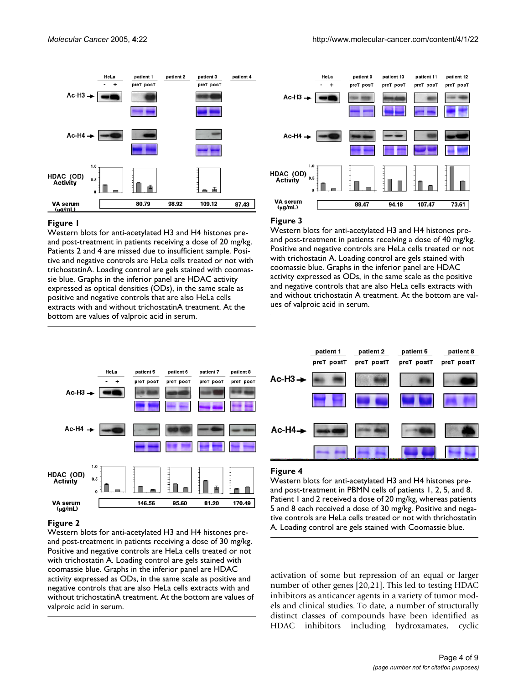

#### Figure 1

Western blots for anti-acetylated H3 and H4 histones preand post-treatment in patients receiving a dose of 20 mg/kg. Patients 2 and 4 are missed due to insufficient sample. Positive and negative controls are HeLa cells treated or not with trichostatinA. Loading control are gels stained with coomassie blue. Graphs in the inferior panel are HDAC activity expressed as optical densities (ODs), in the same scale as positive and negative controls that are also HeLa cells extracts with and without trichostatinA treatment. At the bottom are values of valproic acid in serum.



#### Figure 3

Western blots for anti-acetylated H3 and H4 histones preand post-treatment in patients receiving a dose of 40 mg/kg. Positive and negative controls are HeLa cells treated or not with trichostatin A. Loading control are gels stained with coomassie blue. Graphs in the inferior panel are HDAC activity expressed as ODs, in the same scale as the positive and negative controls that are also HeLa cells extracts with and without trichostatin A treatment. At the bottom are values of valproic acid in serum.



#### Figure 2

Western blots for anti-acetylated H3 and H4 histones preand post-treatment in patients receiving a dose of 30 mg/kg. Positive and negative controls are HeLa cells treated or not with trichostatin A. Loading control are gels stained with coomassie blue. Graphs in the inferior panel are HDAC activity expressed as ODs, in the same scale as positive and negative controls that are also HeLa cells extracts with and without trichostatinA treatment. At the bottom are values of valproic acid in serum.

<span id="page-3-0"></span>

#### Figure 4

Western blots for anti-acetylated H3 and H4 histones preand post-treatment in PBMN cells of patients 1, 2, 5, and 8. Patient 1 and 2 received a dose of 20 mg/kg, whereas patients 5 and 8 each received a dose of 30 mg/kg. Positive and negative controls are HeLa cells treated or not with thrichostatin A. Loading control are gels stained with Coomassie blue.

activation of some but repression of an equal or larger number of other genes [20,21]. This led to testing HDAC inhibitors as anticancer agents in a variety of tumor models and clinical studies. To date, a number of structurally distinct classes of compounds have been identified as HDAC inhibitors including hydroxamates, cyclic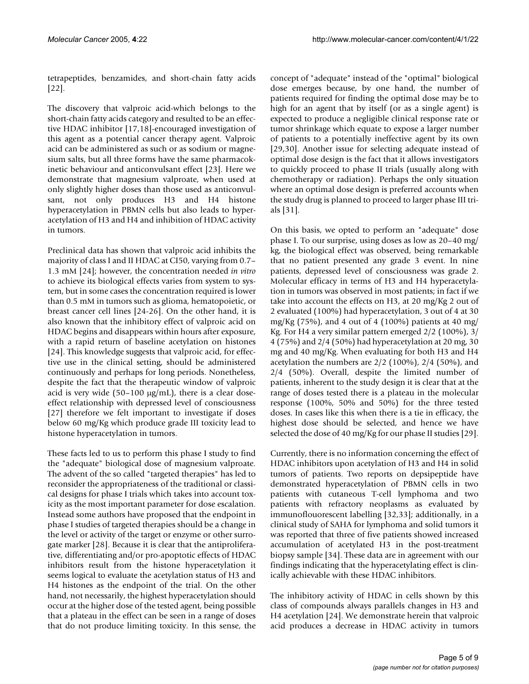tetrapeptides, benzamides, and short-chain fatty acids [22].

The discovery that valproic acid-which belongs to the short-chain fatty acids category and resulted to be an effective HDAC inhibitor [17,18]-encouraged investigation of this agent as a potential cancer therapy agent. Valproic acid can be administered as such or as sodium or magnesium salts, but all three forms have the same pharmacokinetic behaviour and anticonvulsant effect [23]. Here we demonstrate that magnesium valproate, when used at only slightly higher doses than those used as anticonvulsant, not only produces H3 and H4 histone hyperacetylation in PBMN cells but also leads to hyperacetylation of H3 and H4 and inhibition of HDAC activity in tumors.

Preclinical data has shown that valproic acid inhibits the majority of class I and II HDAC at CI50, varying from 0.7– 1.3 mM [24]; however, the concentration needed *in vitro* to achieve its biological effects varies from system to system, but in some cases the concentration required is lower than 0.5 mM in tumors such as glioma, hematopoietic, or breast cancer cell lines [24-26]. On the other hand, it is also known that the inhibitory effect of valproic acid on HDAC begins and disappears within hours after exposure, with a rapid return of baseline acetylation on histones [24]. This knowledge suggests that valproic acid, for effective use in the clinical setting, should be administered continuously and perhaps for long periods. Nonetheless, despite the fact that the therapeutic window of valproic acid is very wide  $(50-100 \text{ µg/mL})$ , there is a clear doseeffect relationship with depressed level of consciousness [27] therefore we felt important to investigate if doses below 60 mg/Kg which produce grade III toxicity lead to histone hyperacetylation in tumors.

These facts led to us to perform this phase I study to find the "adequate" biological dose of magnesium valproate. The advent of the so called "targeted therapies" has led to reconsider the appropriateness of the traditional or classical designs for phase I trials which takes into account toxicity as the most important parameter for dose escalation. Instead some authors have proposed that the endpoint in phase I studies of targeted therapies should be a change in the level or activity of the target or enzyme or other surrogate marker [28]. Because it is clear that the antiproliferative, differentiating and/or pro-apoptotic effects of HDAC inhibitors result from the histone hyperacetylation it seems logical to evaluate the acetylation status of H3 and H4 histones as the endpoint of the trial. On the other hand, not necessarily, the highest hyperacetylation should occur at the higher dose of the tested agent, being possible that a plateau in the effect can be seen in a range of doses that do not produce limiting toxicity. In this sense, the concept of "adequate" instead of the "optimal" biological dose emerges because, by one hand, the number of patients required for finding the optimal dose may be to high for an agent that by itself (or as a single agent) is expected to produce a negligible clinical response rate or tumor shrinkage which equate to expose a larger number of patients to a potentially ineffective agent by its own [29,30]. Another issue for selecting adequate instead of optimal dose design is the fact that it allows investigators to quickly proceed to phase II trials (usually along with chemotherapy or radiation). Perhaps the only situation where an optimal dose design is preferred accounts when the study drug is planned to proceed to larger phase III trials [31].

On this basis, we opted to perform an "adequate" dose phase I. To our surprise, using doses as low as 20–40 mg/ kg, the biological effect was observed, being remarkable that no patient presented any grade 3 event. In nine patients, depressed level of consciousness was grade 2. Molecular efficacy in terms of H3 and H4 hyperacetylation in tumors was observed in most patients; in fact if we take into account the effects on H3, at 20 mg/Kg 2 out of 2 evaluated (100%) had hyperacetylation, 3 out of 4 at 30 mg/Kg (75%), and 4 out of 4 (100%) patients at 40 mg/ Kg. For H4 a very similar pattern emerged 2/2 (100%), 3/ 4 (75%) and 2/4 (50%) had hyperacetylation at 20 mg, 30 mg and 40 mg/Kg. When evaluating for both H3 and H4 acetylation the numbers are 2/2 (100%), 2/4 (50%), and 2/4 (50%). Overall, despite the limited number of patients, inherent to the study design it is clear that at the range of doses tested there is a plateau in the molecular response (100%, 50% and 50%) for the three tested doses. In cases like this when there is a tie in efficacy, the highest dose should be selected, and hence we have selected the dose of 40 mg/Kg for our phase II studies [29].

Currently, there is no information concerning the effect of HDAC inhibitors upon acetylation of H3 and H4 in solid tumors of patients. Two reports on depsipeptide have demonstrated hyperacetylation of PBMN cells in two patients with cutaneous T-cell lymphoma and two patients with refractory neoplasms as evaluated by immunoflouorescent labelling [32,33]; additionally, in a clinical study of SAHA for lymphoma and solid tumors it was reported that three of five patients showed increased accumulation of acetylated H3 in the post-treatment biopsy sample [34]. These data are in agreement with our findings indicating that the hyperacetylating effect is clinically achievable with these HDAC inhibitors.

The inhibitory activity of HDAC in cells shown by this class of compounds always parallels changes in H3 and H4 acetylation [24]. We demonstrate herein that valproic acid produces a decrease in HDAC activity in tumors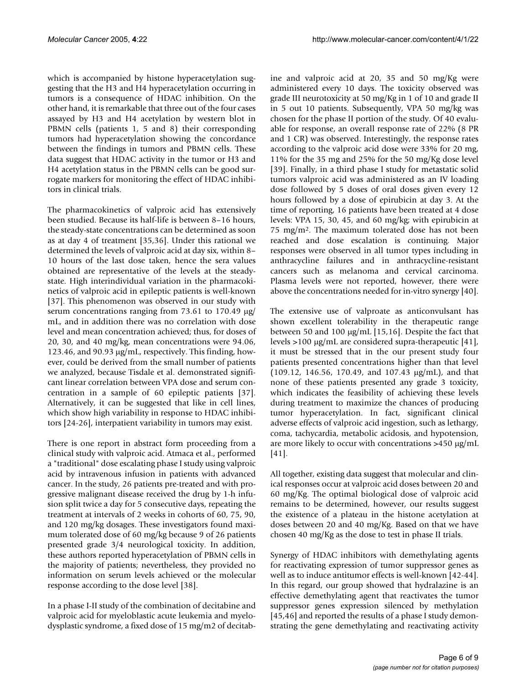which is accompanied by histone hyperacetylation suggesting that the H3 and H4 hyperacetylation occurring in tumors is a consequence of HDAC inhibition. On the other hand, it is remarkable that three out of the four cases assayed by H3 and H4 acetylation by western blot in PBMN cells (patients 1, 5 and 8) their corresponding tumors had hyperacetylation showing the concordance between the findings in tumors and PBMN cells. These data suggest that HDAC activity in the tumor or H3 and H4 acetylation status in the PBMN cells can be good surrogate markers for monitoring the effect of HDAC inhibitors in clinical trials.

The pharmacokinetics of valproic acid has extensively been studied. Because its half-life is between 8–16 hours, the steady-state concentrations can be determined as soon as at day 4 of treatment [35,36]. Under this rational we determined the levels of valproic acid at day six, within 8– 10 hours of the last dose taken, hence the sera values obtained are representative of the levels at the steadystate. High interindividual variation in the pharmacokinetics of valproic acid in epileptic patients is well-known [37]. This phenomenon was observed in our study with serum concentrations ranging from 73.61 to 170.49 µg/ mL, and in addition there was no correlation with dose level and mean concentration achieved; thus, for doses of 20, 30, and 40 mg/kg, mean concentrations were 94.06, 123.46, and 90.93 µg/mL, respectively. This finding, however, could be derived from the small number of patients we analyzed, because Tisdale et al. demonstrated significant linear correlation between VPA dose and serum concentration in a sample of 60 epileptic patients [37]. Alternatively, it can be suggested that like in cell lines, which show high variability in response to HDAC inhibitors [24-26], interpatient variability in tumors may exist.

There is one report in abstract form proceeding from a clinical study with valproic acid. Atmaca et al., performed a "traditional" dose escalating phase I study using valproic acid by intravenous infusion in patients with advanced cancer. In the study, 26 patients pre-treated and with progressive malignant disease received the drug by 1-h infusion split twice a day for 5 consecutive days, repeating the treatment at intervals of 2 weeks in cohorts of 60, 75, 90, and 120 mg/kg dosages. These investigators found maximum tolerated dose of 60 mg/kg because 9 of 26 patients presented grade 3/4 neurological toxicity. In addition, these authors reported hyperacetylation of PBMN cells in the majority of patients; nevertheless, they provided no information on serum levels achieved or the molecular response according to the dose level [38].

In a phase I-II study of the combination of decitabine and valproic acid for myeloblastic acute leukemia and myelodysplastic syndrome, a fixed dose of 15 mg/m2 of decitabine and valproic acid at 20, 35 and 50 mg/Kg were administered every 10 days. The toxicity observed was grade III neurotoxicity at 50 mg/Kg in 1 of 10 and grade II in 5 out 10 patients. Subsequently, VPA 50 mg/kg was chosen for the phase II portion of the study. Of 40 evaluable for response, an overall response rate of 22% (8 PR and 1 CR) was observed. Interestingly, the response rates according to the valproic acid dose were 33% for 20 mg, 11% for the 35 mg and 25% for the 50 mg/Kg dose level [39]. Finally, in a third phase I study for metastatic solid tumors valproic acid was administered as an IV loading dose followed by 5 doses of oral doses given every 12 hours followed by a dose of epirubicin at day 3. At the time of reporting, 16 patients have been treated at 4 dose levels: VPA 15, 30, 45, and 60 mg/kg; with epirubicin at 75 mg/m2. The maximum tolerated dose has not been reached and dose escalation is continuing. Major responses were observed in all tumor types including in anthracycline failures and in anthracycline-resistant cancers such as melanoma and cervical carcinoma. Plasma levels were not reported, however, there were above the concentrations needed for in-vitro synergy [40].

The extensive use of valproate as anticonvulsant has shown excellent tolerability in the therapeutic range between 50 and 100 µg/mL [15,16]. Despite the fact that levels >100 µg/mL are considered supra-therapeutic [41], it must be stressed that in the our present study four patients presented concentrations higher than that level (109.12, 146.56, 170.49, and 107.43 µg/mL), and that none of these patients presented any grade 3 toxicity, which indicates the feasibility of achieving these levels during treatment to maximize the chances of producing tumor hyperacetylation. In fact, significant clinical adverse effects of valproic acid ingestion, such as lethargy, coma, tachycardia, metabolic acidosis, and hypotension, are more likely to occur with concentrations >450 µg/mL [41].

All together, existing data suggest that molecular and clinical responses occur at valproic acid doses between 20 and 60 mg/Kg. The optimal biological dose of valproic acid remains to be determined, however, our results suggest the existence of a plateau in the histone acetylation at doses between 20 and 40 mg/Kg. Based on that we have chosen 40 mg/Kg as the dose to test in phase II trials.

Synergy of HDAC inhibitors with demethylating agents for reactivating expression of tumor suppressor genes as well as to induce antitumor effects is well-known [42-44]. In this regard, our group showed that hydralazine is an effective demethylating agent that reactivates the tumor suppressor genes expression silenced by methylation [45,46] and reported the results of a phase I study demonstrating the gene demethylating and reactivating activity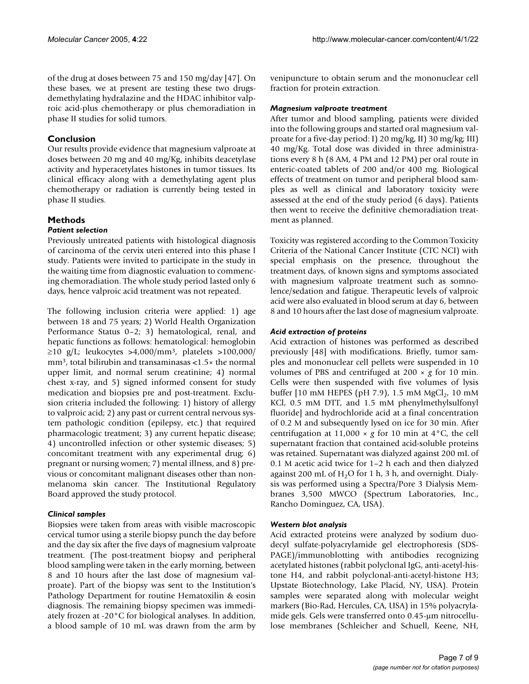of the drug at doses between 75 and 150 mg/day [47]. On these bases, we at present are testing these two drugsdemethylating hydralazine and the HDAC inhibitor valproic acid-plus chemotherapy or plus chemoradiation in phase II studies for solid tumors.

## **Conclusion**

Our results provide evidence that magnesium valproate at doses between 20 mg and 40 mg/Kg, inhibits deacetylase activity and hyperacetylates histones in tumor tissues. Its clinical efficacy along with a demethylating agent plus chemotherapy or radiation is currently being tested in phase II studies.

## **Methods**

## *Patient selection*

Previously untreated patients with histological diagnosis of carcinoma of the cervix uteri entered into this phase I study. Patients were invited to participate in the study in the waiting time from diagnostic evaluation to commencing chemoradiation. The whole study period lasted only 6 days, hence valproic acid treatment was not repeated.

The following inclusion criteria were applied: 1) age between 18 and 75 years; 2) World Health Organization Performance Status 0–2; 3) hematological, renal, and hepatic functions as follows: hematological: hemoglobin  $≥10$  g/L; leukocytes >4,000/mm<sup>3</sup>, platelets >100,000/ mm3, total bilirubin and transaminasas <1.5× the normal upper limit, and normal serum creatinine; 4) normal chest x-ray, and 5) signed informed consent for study medication and biopsies pre and post-treatment. Exclusion criteria included the following: 1) history of allergy to valproic acid; 2) any past or current central nervous system pathologic condition (epilepsy, etc.) that required pharmacologic treatment; 3) any current hepatic disease; 4) uncontrolled infection or other systemic diseases; 5) concomitant treatment with any experimental drug; 6) pregnant or nursing women; 7) mental illness, and 8) previous or concomitant malignant diseases other than nonmelanoma skin cancer. The Institutional Regulatory Board approved the study protocol.

## *Clinical samples*

Biopsies were taken from areas with visible macroscopic cervical tumor using a sterile biopsy punch the day before and the day six after the five days of magnesium valproate treatment. (The post-treatment biopsy and peripheral blood sampling were taken in the early morning, between 8 and 10 hours after the last dose of magnesium valproate). Part of the biopsy was sent to the Institution's Pathology Department for routine Hematoxilin & eosin diagnosis. The remaining biopsy specimen was immediately frozen at -20°C for biological analyses. In addition, a blood sample of 10 mL was drawn from the arm by venipuncture to obtain serum and the mononuclear cell fraction for protein extraction.

### *Magnesium valproate treatment*

After tumor and blood sampling, patients were divided into the following groups and started oral magnesium valproate for a five-day period: I) 20 mg/kg, II) 30 mg/kg; III) 40 mg/Kg. Total dose was divided in three administrations every 8 h (8 AM, 4 PM and 12 PM) per oral route in enteric-coated tablets of 200 and/or 400 mg. Biological effects of treatment on tumor and peripheral blood samples as well as clinical and laboratory toxicity were assessed at the end of the study period (6 days). Patients then went to receive the definitive chemoradiation treatment as planned.

Toxicity was registered according to the Common Toxicity Criteria of the National Cancer Institute (CTC NCI) with special emphasis on the presence, throughout the treatment days, of known signs and symptoms associated with magnesium valproate treatment such as somnolence/sedation and fatigue. Therapeutic levels of valproic acid were also evaluated in blood serum at day 6, between 8 and 10 hours after the last dose of magnesium valproate.

## *Acid extraction of proteins*

Acid extraction of histones was performed as described previously [48] with modifications. Briefly, tumor samples and mononuclear cell pellets were suspended in 10 volumes of PBS and centrifuged at 200 × *g* for 10 min. Cells were then suspended with five volumes of lysis buffer [10 mM HEPES (pH 7.9), 1.5 mM  $MgCl<sub>2</sub>$ , 10 mM KCl, 0.5 mM DTT, and 1.5 mM phenylmethylsulfonyl fluoride] and hydrochloride acid at a final concentration of 0.2 M and subsequently lysed on ice for 30 min. After centrifugation at  $11,000 \times g$  for 10 min at  $4^{\circ}$ C, the cell supernatant fraction that contained acid-soluble proteins was retained. Supernatant was dialyzed against 200 mL of 0.1 M acetic acid twice for 1–2 h each and then dialyzed against 200 mL of  $H<sub>2</sub>O$  for 1 h, 3 h, and overnight. Dialysis was performed using a Spectra/Pore 3 Dialysis Membranes 3,500 MWCO (Spectrum Laboratories, Inc., Rancho Dominguez, CA, USA).

## *Western blot analysis*

Acid extracted proteins were analyzed by sodium duodecyl sulfate-polyacrylamide gel electrophoresis (SDS-PAGE)/immunoblotting with antibodies recognizing acetylated histones (rabbit polyclonal IgG, anti-acetyl-histone H4, and rabbit polyclonal-anti-acetyl-histone H3; Upstate Biotechnology, Lake Placid, NY, USA). Protein samples were separated along with molecular weight markers (Bio-Rad, Hercules, CA, USA) in 15% polyacrylamide gels. Gels were transferred onto 0.45-µm nitrocellulose membranes (Schleicher and Schuell, Keene, NH,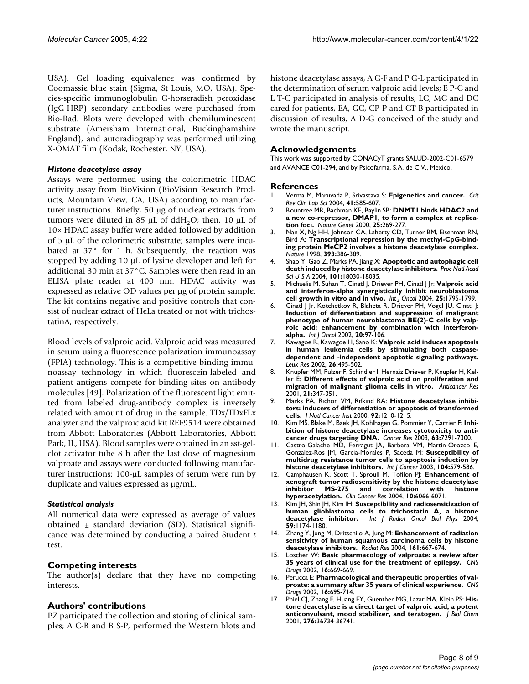USA). Gel loading equivalence was confirmed by Coomassie blue stain (Sigma, St Louis, MO, USA). Species-specific immunoglobulin G-horseradish peroxidase (IgG-HRP) secondary antibodies were purchased from Bio-Rad. Blots were developed with chemiluminescent substrate (Amersham International, Buckinghamshire England), and autoradiography was performed utilizing X-OMAT film (Kodak, Rochester, NY, USA).

#### *Histone deacetylase assay*

Assays were performed using the colorimetric HDAC activity assay from BioVision (BioVision Research Products, Mountain View, CA, USA) according to manufacturer instructions. Briefly, 50 µg of nuclear extracts from tumors were diluted in 85  $\mu$ L of ddH<sub>2</sub>O; then, 10  $\mu$ L of 10× HDAC assay buffer were added followed by addition of 5 µL of the colorimetric substrate; samples were incubated at 37° for 1 h. Subsequently, the reaction was stopped by adding 10 µL of lysine developer and left for additional 30 min at 37°C. Samples were then read in an ELISA plate reader at 400 nm. HDAC activity was expressed as relative OD values per µg of protein sample. The kit contains negative and positive controls that consist of nuclear extract of HeLa treated or not with trichostatinA, respectively.

Blood levels of valproic acid. Valproic acid was measured in serum using a fluorescence polarization immunoassay (FPIA) technology. This is a competitive binding immunoassay technology in which fluorescein-labeled and patient antigens compete for binding sites on antibody molecules [49]. Polarization of the fluorescent light emitted from labeled drug-antibody complex is inversely related with amount of drug in the sample. TDx/TDxFLx analyzer and the valproic acid kit REF9514 were obtained from Abbott Laboratories (Abbott Laboratories, Abbott Park, IL, USA). Blood samples were obtained in an sst-gelclot activator tube 8 h after the last dose of magnesium valproate and assays were conducted following manufacturer instructions; 100-µL samples of serum were run by duplicate and values expressed as µg/mL.

### *Statistical analysis*

All numerical data were expressed as average of values obtained  $\pm$  standard deviation (SD). Statistical significance was determined by conducting a paired Student *t* test.

### **Competing interests**

The author(s) declare that they have no competing interests.

### **Authors' contributions**

PZ participated the collection and storing of clinical samples; A C-B and B S-P, performed the Western blots and

histone deacetylase assays, A G-F and P G-L participated in the determination of serum valproic acid levels; E P-C and L T-C participated in analysis of results, LC, MC and DC cared for patients, EA, GC, CP-P and CT-B participated in discussion of results, A D-G conceived of the study and wrote the manuscript.

## **Acknowledgements**

This work was supported by CONACyT grants SALUD-2002-C01-6579 and AVANCE C01-294, and by Psicofarma, S.A. de C.V., Mexico.

#### **References**

- 1. Verma M, Maruvada P, Srivastava S: **[Epigenetics and cancer.](http://www.ncbi.nlm.nih.gov/entrez/query.fcgi?cmd=Retrieve&db=PubMed&dopt=Abstract&list_uids=15603512)** *Crit Rev Clin Lab Sci* 2004, **41:**585-607.
- 2. Rountree MR, Bachman KE, Baylin SB: **[DNMT1 binds HDAC2 and](http://www.ncbi.nlm.nih.gov/entrez/query.fcgi?cmd=Retrieve&db=PubMed&dopt=Abstract&list_uids=10888872) [a new co-repressor, DMAP1, to form a complex at replica](http://www.ncbi.nlm.nih.gov/entrez/query.fcgi?cmd=Retrieve&db=PubMed&dopt=Abstract&list_uids=10888872)[tion foci.](http://www.ncbi.nlm.nih.gov/entrez/query.fcgi?cmd=Retrieve&db=PubMed&dopt=Abstract&list_uids=10888872)** *Nature Genet* 2000, **25:**269-277.
- Nan X, Ng HH, Johnson CA, Laherty CD, Turner BM, Eisenman RN, Bird A: **[Transcriptional repression by the methyl-CpG-bind](http://www.ncbi.nlm.nih.gov/entrez/query.fcgi?cmd=Retrieve&db=PubMed&dopt=Abstract&list_uids=9620804)[ing protein MeCP2 involves a histone deacetylase complex.](http://www.ncbi.nlm.nih.gov/entrez/query.fcgi?cmd=Retrieve&db=PubMed&dopt=Abstract&list_uids=9620804)** *Nature* 1998, **393:**386-389.
- 4. Shao Y, Gao Z, Marks PA, Jiang X: **[Apoptotic and autophagic cell](http://www.ncbi.nlm.nih.gov/entrez/query.fcgi?cmd=Retrieve&db=PubMed&dopt=Abstract&list_uids=15596714) [death induced by histone deacetylase inhibitors.](http://www.ncbi.nlm.nih.gov/entrez/query.fcgi?cmd=Retrieve&db=PubMed&dopt=Abstract&list_uids=15596714)** *Proc Natl Acad Sci U S A* 2004, **101:**18030-18035.
- 5. Michaelis M, Suhan T, Cinatl J, Driever PH, Cinatl J Jr: **[Valproic acid](http://www.ncbi.nlm.nih.gov/entrez/query.fcgi?cmd=Retrieve&db=PubMed&dopt=Abstract&list_uids=15547719) [and interferon-alpha synergistically inhibit neuroblastoma](http://www.ncbi.nlm.nih.gov/entrez/query.fcgi?cmd=Retrieve&db=PubMed&dopt=Abstract&list_uids=15547719) [cell growth in vitro and in vivo.](http://www.ncbi.nlm.nih.gov/entrez/query.fcgi?cmd=Retrieve&db=PubMed&dopt=Abstract&list_uids=15547719)** *Int J Oncol* 2004, **25:**1795-1799.
- 6. Cinatl J Jr, Kotchetkov R, Blaheta R, Driever PH, Vogel JU, Cinatl J: **[Induction of differentiation and suppression of malignant](http://www.ncbi.nlm.nih.gov/entrez/query.fcgi?cmd=Retrieve&db=PubMed&dopt=Abstract&list_uids=11743648) phenotype of human neuroblastoma BE(2)-C cells by valproic acid: enhancement by combination with interferon[alpha.](http://www.ncbi.nlm.nih.gov/entrez/query.fcgi?cmd=Retrieve&db=PubMed&dopt=Abstract&list_uids=11743648)** *Int J Oncol* 2002, **20:**97-106.
- 7. Kawagoe R, Kawagoe H, Sano K: **[Valproic acid induces apoptosis](http://www.ncbi.nlm.nih.gov/entrez/query.fcgi?cmd=Retrieve&db=PubMed&dopt=Abstract&list_uids=11916526) [in human leukemia cells by stimulating both caspase](http://www.ncbi.nlm.nih.gov/entrez/query.fcgi?cmd=Retrieve&db=PubMed&dopt=Abstract&list_uids=11916526)dependent and -independent apoptotic signaling pathways.** *Leuk Res* 2002, **26:**495-502.
- 8. Knupfer MM, Pulzer F, Schindler I, Hernaiz Driever P, Knupfer H, Keller E: **[Different effects of valproic acid on proliferation and](http://www.ncbi.nlm.nih.gov/entrez/query.fcgi?cmd=Retrieve&db=PubMed&dopt=Abstract&list_uids=11299760) [migration of malignant glioma cells in vitro.](http://www.ncbi.nlm.nih.gov/entrez/query.fcgi?cmd=Retrieve&db=PubMed&dopt=Abstract&list_uids=11299760)** *Anticancer Res* 2001, **21:**347-351.
- 9. Marks PA, Richon VM, Rifkind RA: **[Histone deacetylase inhibi](http://www.ncbi.nlm.nih.gov/entrez/query.fcgi?cmd=Retrieve&db=PubMed&dopt=Abstract&list_uids=10922406)[tors: inducers of differentiation or apoptosis of transformed](http://www.ncbi.nlm.nih.gov/entrez/query.fcgi?cmd=Retrieve&db=PubMed&dopt=Abstract&list_uids=10922406) [cells.](http://www.ncbi.nlm.nih.gov/entrez/query.fcgi?cmd=Retrieve&db=PubMed&dopt=Abstract&list_uids=10922406)** *J Natl Cancer Inst* 2000, **92:**1210-1215.
- 10. Kim MS, Blake M, Baek JH, Kohlhagen G, Pommier Y, Carrier F: **[Inhi](http://www.ncbi.nlm.nih.gov/entrez/query.fcgi?cmd=Retrieve&db=PubMed&dopt=Abstract&list_uids=14612526)[bition of histone deacetylase increases cytotoxicity to anti](http://www.ncbi.nlm.nih.gov/entrez/query.fcgi?cmd=Retrieve&db=PubMed&dopt=Abstract&list_uids=14612526)[cancer drugs targeting DNA.](http://www.ncbi.nlm.nih.gov/entrez/query.fcgi?cmd=Retrieve&db=PubMed&dopt=Abstract&list_uids=14612526)** *Cancer Res* 2003, **63:**7291-7300.
- 11. Castro-Galache MD, Ferragut JA, Barbera VM, Martin-Orozco E, Gonzalez-Ros JM, Garcia-Morales P, Saceda M: **[Susceptibility of](http://www.ncbi.nlm.nih.gov/entrez/query.fcgi?cmd=Retrieve&db=PubMed&dopt=Abstract&list_uids=12594812) [multidrug resistance tumor cells to apoptosis induction by](http://www.ncbi.nlm.nih.gov/entrez/query.fcgi?cmd=Retrieve&db=PubMed&dopt=Abstract&list_uids=12594812) [histone deacetylase inhibitors.](http://www.ncbi.nlm.nih.gov/entrez/query.fcgi?cmd=Retrieve&db=PubMed&dopt=Abstract&list_uids=12594812)** *Int J Cancer* 2003, **104:**579-586.
- 12. Camphausen K, Scott T, Sproull M, Tofilon PJ: **[Enhancement of](http://www.ncbi.nlm.nih.gov/entrez/query.fcgi?cmd=Retrieve&db=PubMed&dopt=Abstract&list_uids=15447991) [xenograft tumor radiosensitivity by the histone deacetylase](http://www.ncbi.nlm.nih.gov/entrez/query.fcgi?cmd=Retrieve&db=PubMed&dopt=Abstract&list_uids=15447991) inhibitor MS-275 and correlation with histone [hyperacetylation.](http://www.ncbi.nlm.nih.gov/entrez/query.fcgi?cmd=Retrieve&db=PubMed&dopt=Abstract&list_uids=15447991)** *Clin Cancer Res* 2004, **10:**6066-6071.
- 13. Kim JH, Shin JH, Kim IH: **[Susceptibility and radiosensitization of](http://www.ncbi.nlm.nih.gov/entrez/query.fcgi?cmd=Retrieve&db=PubMed&dopt=Abstract&list_uids=15234053) [human glioblastoma cells to trichostatin A, a histone](http://www.ncbi.nlm.nih.gov/entrez/query.fcgi?cmd=Retrieve&db=PubMed&dopt=Abstract&list_uids=15234053) [deacetylase inhibitor.](http://www.ncbi.nlm.nih.gov/entrez/query.fcgi?cmd=Retrieve&db=PubMed&dopt=Abstract&list_uids=15234053)** *Int J Radiat Oncol Biol Phys* 2004, **59:**1174-1180.
- 14. Zhang Y, Jung M, Dritschilo A, Jung M: **[Enhancement of radiation](http://www.ncbi.nlm.nih.gov/entrez/query.fcgi?cmd=Retrieve&db=PubMed&dopt=Abstract&list_uids=15161353) [sensitivity of human squamous carcinoma cells by histone](http://www.ncbi.nlm.nih.gov/entrez/query.fcgi?cmd=Retrieve&db=PubMed&dopt=Abstract&list_uids=15161353) [deacetylase inhibitors.](http://www.ncbi.nlm.nih.gov/entrez/query.fcgi?cmd=Retrieve&db=PubMed&dopt=Abstract&list_uids=15161353)** *Radiat Res* 2004, **161:**667-674.
- 15. Loscher W: **[Basic pharmacology of valproate: a review after](http://www.ncbi.nlm.nih.gov/entrez/query.fcgi?cmd=Retrieve&db=PubMed&dopt=Abstract&list_uids=12269861) [35 years of clinical use for the treatment of epilepsy.](http://www.ncbi.nlm.nih.gov/entrez/query.fcgi?cmd=Retrieve&db=PubMed&dopt=Abstract&list_uids=12269861)** *CNS Drugs* 2002, **16:**669-669.
- 16. Perucca E: **[Pharmacological and therapeutic properties of val](http://www.ncbi.nlm.nih.gov/entrez/query.fcgi?cmd=Retrieve&db=PubMed&dopt=Abstract&list_uids=12269862)[proate: a summary after 35 years of clinical experience.](http://www.ncbi.nlm.nih.gov/entrez/query.fcgi?cmd=Retrieve&db=PubMed&dopt=Abstract&list_uids=12269862)** *CNS Drugs* 2002, **16:**695-714.
- Phiel CJ, Zhang F, Huang EY, Guenther MG, Lazar MA, Klein PS: [His](http://www.ncbi.nlm.nih.gov/entrez/query.fcgi?cmd=Retrieve&db=PubMed&dopt=Abstract&list_uids=11473107)**[tone deacetylase is a direct target of valproic acid, a potent](http://www.ncbi.nlm.nih.gov/entrez/query.fcgi?cmd=Retrieve&db=PubMed&dopt=Abstract&list_uids=11473107) [anticonvulsant, mood stabilizer, and teratogen.](http://www.ncbi.nlm.nih.gov/entrez/query.fcgi?cmd=Retrieve&db=PubMed&dopt=Abstract&list_uids=11473107)** *J Biol Chem* 2001, **276:**36734-36741.